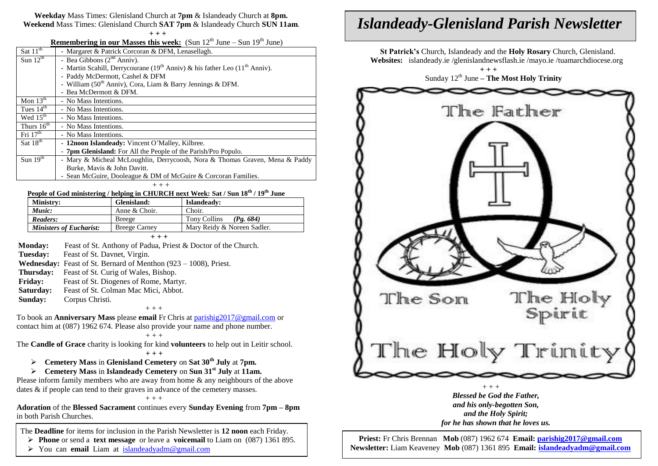### **Weekday** Mass Times: Glenisland Church at **7pm** & Islandeady Church at **8pm. Weekend** Mass Times: Glenisland Church **SAT 7pm** & Islandeady Church **SUN 11am**.

**+ + +**

**Remembering in our Masses this week:** (Sun  $12<sup>th</sup>$  June – Sun  $19<sup>th</sup>$  June)

| Sat $11th$             | - Margaret & Patrick Corcoran & DFM, Lenasellagh.                                                  |  |  |
|------------------------|----------------------------------------------------------------------------------------------------|--|--|
| Sun $12^{th}$          | - Bea Gibbons $(2nd Anniv)$ .                                                                      |  |  |
|                        | - Martin Scahill, Derrycourane (19 <sup>th</sup> Anniv) & his father Leo (11 <sup>th</sup> Anniv). |  |  |
|                        | - Paddy McDermott, Cashel & DFM                                                                    |  |  |
|                        | - William (50 <sup>th</sup> Anniv), Cora, Liam & Barry Jennings & DFM.                             |  |  |
|                        | - Bea McDermott & DFM.                                                                             |  |  |
| Mon $13th$             | - No Mass Intentions.                                                                              |  |  |
| Tues $14th$            | - No Mass Intentions.                                                                              |  |  |
| Wed $15^{\text{th}}$   | - No Mass Intentions.                                                                              |  |  |
| Thurs $16^{\text{th}}$ | - No Mass Intentions.                                                                              |  |  |
| Fri $17th$             | - No Mass Intentions.                                                                              |  |  |
| Sat $18th$             | - 12noon Islandeady: Vincent O'Malley, Kilbree.                                                    |  |  |
|                        | - 7pm Glenisland: For All the People of the Parish/Pro Populo.                                     |  |  |
| Sun $19th$             | - Mary & Micheal McLoughlin, Derrycoosh, Nora & Thomas Graven, Mena & Paddy                        |  |  |
|                        | Burke, Mavis & John Davitt.                                                                        |  |  |
|                        | - Sean McGuire, Dooleague & DM of McGuire & Corcoran Families.                                     |  |  |
| $++ +$                 |                                                                                                    |  |  |
|                        |                                                                                                    |  |  |

# **People of God ministering / helping in CHURCH next Week: Sat / Sun 18 th / 19 th June**

| I copic of Oba minimum $\mu$ holping in chronom near weak one found to $\mu$ is |                      |                                |  |
|---------------------------------------------------------------------------------|----------------------|--------------------------------|--|
| Ministry:                                                                       | Glenisland:          | Islandeady:                    |  |
| Music:                                                                          | Anne & Choir.        | Choir.                         |  |
| Readers:                                                                        | Breege               | Tony Collins<br>$(P_{2}, 684)$ |  |
| <b>Ministers of Eucharist:</b>                                                  | <b>Breege Carney</b> | Mary Reidy & Noreen Sadler.    |  |
| $+++$                                                                           |                      |                                |  |

**Monday:** Feast of St. Anthony of Padua, Priest & Doctor of the Church. **Tuesday:** Feast of St. Davnet, Virgin. **Wednesday:** Feast of St. Bernard of Menthon (923 – 1008), Priest. **Thursday:** Feast of St. Curig of Wales, Bishop. **Friday:** Feast of St. Diogenes of Rome, Martyr.

**Saturday:** Feast of St. Colman Mac Mici, Abbot.

**Sunday:** Corpus Christi. + + +

To book an **Anniversary Mass** please **email** Fr Chris at [parishig2017@gmail.com](mailto:parishig2017@gmail.com) or contact him at (087) 1962 674. Please also provide your name and phone number.

#### $++$  +  $+$

The **Candle of Grace** charity is looking for kind **volunteers** to help out in Leitir school.  **+ + +**

- **Cemetery Mass** in **Glenisland Cemetery** on **Sat 30th July** at **7pm.**
- **Cemetery Mass** in **Islandeady Cemetery** on **Sun 31st July** at **11am.**

Please inform family members who are away from home & any neighbours of the above dates & if people can tend to their graves in advance of the cemetery masses.

#### + + +

**Adoration** of the **Blessed Sacrament** continues every **Sunday Evening** from **7pm – 8pm** in both Parish Churches.

The **Deadline** for items for inclusion in the Parish Newsletter is **12 noon** each Friday.

**Phone** or send a **text message** or leave a **voicemail** to Liam on (087) 1361 895.

You can **email** Liam at [islandeadyadm@gmail.com](mailto:islandeadyadm@gmail.com)

# *Islandeady-Glenisland Parish Newsletter*

 **St Patrick's** Church, Islandeady and the **Holy Rosary** Church, Glenisland. **Websites:** islandeady.ie /glenislandnewsflash.ie /mayo.ie /tuamarchdiocese.org

 **+ + +** Sunday 12th June **– The Most Holy Trinity**



*Blessed be God the Father, and his only-begotten Son, and the Holy Spirit; for he has shown that he loves us.*

 **Priest:** Fr Chris Brennan **Mob** (087) 1962 674 **Email: [parishig2017@gmail.com](mailto:parishig2017@gmail.com) Newsletter:** Liam Keaveney **Mob** (087) 1361 895 **Email: [islandeadyadm@gmail.com](mailto:islandeadyadm@gmail.com)**